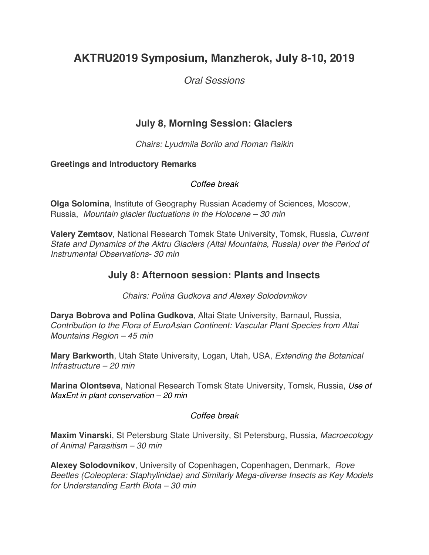# **AKTRU2019 Symposium, Manzherok, July 8-10, 2019**

*Oral Sessions*

# **July 8, Morning Session: Glaciers**

*Chairs: Lyudmila Borilo and Roman Raikin*

#### **Greetings and Introductory Remarks**

#### *Coffee break*

**Olga Solomina**, Institute of Geography Russian Academy of Sciences, Moscow, Russia, *Mountain glacier fluctuations in the Holocene – 30 min*

**Valery Zemtsov**, National Research Tomsk State University, Tomsk, Russia, *Current State and Dynamics of the Aktru Glaciers (Altai Mountains, Russia) over the Period of Instrumental Observations- 30 min*

## **July 8: Afternoon session: Plants and Insects**

*Chairs: Polina Gudkova and Alexey Solodovnikov*

**Darya Bobrova and Polina Gudkova**, Altai State University, Barnaul, Russia, *Contribution to the Flora of EuroAsian Continent: Vascular Plant Species from Altai Mountains Region – 45 min*

**Mary Barkworth**, Utah State University, Logan, Utah, USA, *Extending the Botanical Infrastructure – 20 min*

**Marina Olontseva**, National Research Tomsk State University, Tomsk, Russia, *Use of MaxEnt in plant conservation – 20 min*

#### *Coffee break*

**Maxim Vinarski**, St Petersburg State University, St Petersburg, Russia, *Macroecology of Animal Parasitism – 30 min*

**Alexey Solodovnikov**, University of Copenhagen, Copenhagen, Denmark*, Rove Beetles (Coleoptera: Staphylinidae) and Similarly Mega-diverse Insects as Key Models for Understanding Earth Biota – 30 min*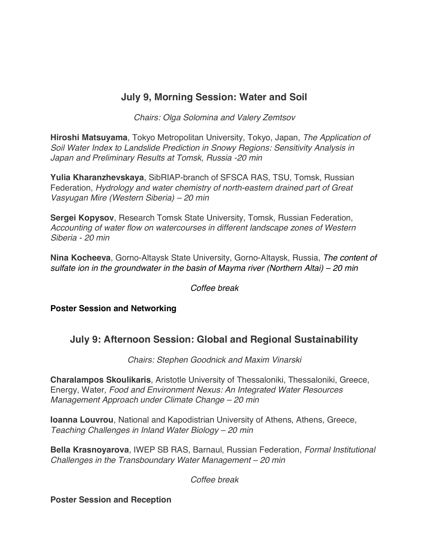## **July 9, Morning Session: Water and Soil**

*Chairs: Olga Solomina and Valery Zemtsov*

**Hiroshi Matsuyama**, Tokyo Metropolitan University, Tokyo, Japan, *The Application of Soil Water Index to Landslide Prediction in Snowy Regions: Sensitivity Analysis in Japan and Preliminary Results at Tomsk, Russia -20 min*

**Yulia Kharanzhevskaya**, SibRIAP-branch of SFSCA RAS, TSU, Tomsk, Russian Federation, *Hydrology and water chemistry of north-eastern drained part of Great Vasyugan Mire (Western Siberia) – 20 min*

**Sergei Kopysov**, Research Tomsk State University, Tomsk, Russian Federation, *Accounting of water flow on watercourses in different landscape zones of Western Siberia - 20 min*

**Nina Kocheeva**, Gorno-Altaysk State University, Gorno-Altaysk, Russia, *The content of sulfate ion in the groundwater in the basin of Mayma river (Northern Altai) – 20 min*

*Coffee break*

**Poster Session and Networking**

# **July 9: Afternoon Session: Global and Regional Sustainability**

*Chairs: Stephen Goodnick and Maxim Vinarski*

**Charalampos Skoulikaris**, Aristotle University of Thessaloniki, Thessaloniki, Greece, Energy, Water*, Food and Environment Nexus: An Integrated Water Resources Management Approach under Climate Change – 20 min*

**Ioanna Louvrou**, National and Kapodistrian University of Athens, Athens, Greece, *Teaching Challenges in Inland Water Biology – 20 min*

**Bella Krasnoyarova**, IWEP SB RAS, Barnaul, Russian Federation, *Formal Institutional Challenges in the Transboundary Water Management – 20 min*

*Coffee break*

**Poster Session and Reception**